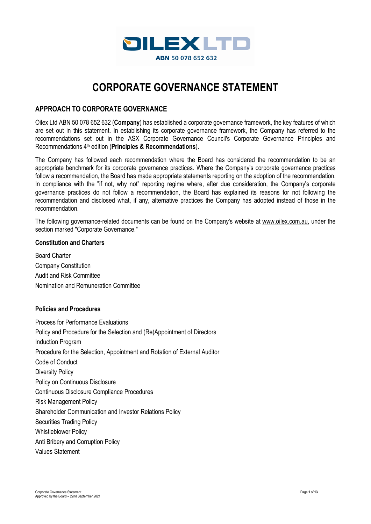

# **CORPORATE GOVERNANCE STATEMENT**

# **APPROACH TO CORPORATE GOVERNANCE**

Oilex Ltd ABN 50 078 652 632 (**Company**) has established a corporate governance framework, the key features of which are set out in this statement. In establishing its corporate governance framework, the Company has referred to the recommendations set out in the ASX Corporate Governance Council's Corporate Governance Principles and Recommendations 4th edition (**Principles & Recommendations**).

The Company has followed each recommendation where the Board has considered the recommendation to be an appropriate benchmark for its corporate governance practices. Where the Company's corporate governance practices follow a recommendation, the Board has made appropriate statements reporting on the adoption of the recommendation. In compliance with the "if not, why not" reporting regime where, after due consideration, the Company's corporate governance practices do not follow a recommendation, the Board has explained its reasons for not following the recommendation and disclosed what, if any, alternative practices the Company has adopted instead of those in the recommendation.

The following governance-related documents can be found on the Company's website at [www.oilex.com.au,](http://www.oilex.com.au/) under the section marked "Corporate Governance."

# **Constitution and Charters**

Board Charter Company Constitution Audit and Risk Committee Nomination and Remuneration Committee

#### **Policies and Procedures**

Process for Performance Evaluations Policy and Procedure for the Selection and (Re)Appointment of Directors Induction Program Procedure for the Selection, Appointment and Rotation of External Auditor Code of Conduct Diversity Policy Policy on Continuous Disclosure Continuous Disclosure Compliance Procedures Risk Management Policy Shareholder Communication and Investor Relations Policy Securities Trading Policy Whistleblower Policy Anti Bribery and Corruption Policy Values Statement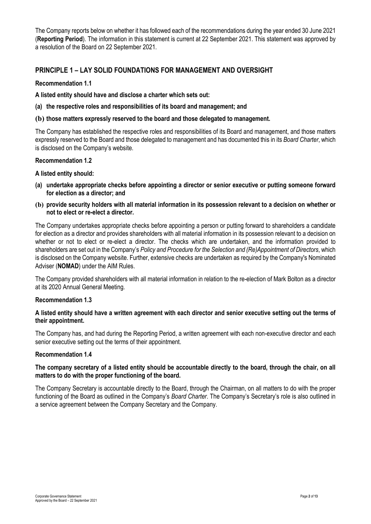The Company reports below on whether it has followed each of the recommendations during the year ended 30 June 2021 (**Reporting Period**). The information in this statement is current at 22 September 2021. This statement was approved by a resolution of the Board on 22 September 2021.

# **PRINCIPLE 1 – LAY SOLID FOUNDATIONS FOR MANAGEMENT AND OVERSIGHT**

# **Recommendation 1.1**

**A listed entity should have and disclose a charter which sets out:** 

**(a) the respective roles and responsibilities of its board and management; and** 

# **(b) those matters expressly reserved to the board and those delegated to management.**

The Company has established the respective roles and responsibilities of its Board and management, and those matters expressly reserved to the Board and those delegated to management and has documented this in its *Board Charter*, which is disclosed on the Company's website.

#### **Recommendation 1.2**

# **A listed entity should:**

- **(a) undertake appropriate checks before appointing a director or senior executive or putting someone forward for election as a director; and**
- **(b) provide security holders with all material information in its possession relevant to a decision on whether or not to elect or re-elect a director.**

The Company undertakes appropriate checks before appointing a person or putting forward to shareholders a candidate for election as a director and provides shareholders with all material information in its possession relevant to a decision on whether or not to elect or re-elect a director. The checks which are undertaken, and the information provided to shareholders are set out in the Company's *Policy and Procedure for the Selection and (Re)Appointment of Directors*, which is disclosed on the Company website. Further, extensive checks are undertaken as required by the Company's Nominated Adviser (**NOMAD**) under the AIM Rules.

The Company provided shareholders with all material information in relation to the re-election of Mark Bolton as a director at its 2020 Annual General Meeting.

#### **Recommendation 1.3**

# **A listed entity should have a written agreement with each director and senior executive setting out the terms of their appointment.**

The Company has, and had during the Reporting Period, a written agreement with each non-executive director and each senior executive setting out the terms of their appointment.

#### **Recommendation 1.4**

# **The company secretary of a listed entity should be accountable directly to the board, through the chair, on all matters to do with the proper functioning of the board.**

The Company Secretary is accountable directly to the Board, through the Chairman, on all matters to do with the proper functioning of the Board as outlined in the Company's *Board Charter*. The Company's Secretary's role is also outlined in a service agreement between the Company Secretary and the Company.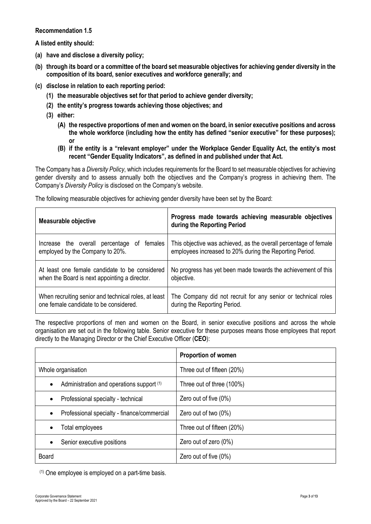**Recommendation 1.5** 

**A listed entity should:** 

- **(a) have and disclose a diversity policy;**
- **(b) through its board or a committee of the board set measurable objectives for achieving gender diversity in the composition of its board, senior executives and workforce generally; and**
- **(c) disclose in relation to each reporting period:** 
	- **(1) the measurable objectives set for that period to achieve gender diversity;**
	- **(2) the entity's progress towards achieving those objectives; and**
	- **(3) either:** 
		- **(A) the respective proportions of men and women on the board, in senior executive positions and across the whole workforce (including how the entity has defined "senior executive" for these purposes); or**
		- **(B) if the entity is a "relevant employer" under the Workplace Gender Equality Act, the entity's most recent "Gender Equality Indicators", as defined in and published under that Act.**

The Company has a *Diversity Policy*, which includes requirements for the Board to set measurable objectives for achieving gender diversity and to assess annually both the objectives and the Company's progress in achieving them. The Company's *Diversity Policy* is disclosed on the Company's website.

The following measurable objectives for achieving gender diversity have been set by the Board:

| <b>Measurable objective</b>                                                         | Progress made towards achieving measurable objectives<br>during the Reporting Period                                        |
|-------------------------------------------------------------------------------------|-----------------------------------------------------------------------------------------------------------------------------|
| females<br>Increase the overall percentage<br>0f<br>employed by the Company to 20%. | This objective was achieved, as the overall percentage of female<br>employees increased to 20% during the Reporting Period. |
| At least one female candidate to be considered                                      | No progress has yet been made towards the achievement of this                                                               |
| when the Board is next appointing a director.                                       | objective.                                                                                                                  |
| When recruiting senior and technical roles, at least                                | The Company did not recruit for any senior or technical roles                                                               |
| one female candidate to be considered.                                              | during the Reporting Period.                                                                                                |

The respective proportions of men and women on the Board, in senior executive positions and across the whole organisation are set out in the following table. Senior executive for these purposes means those employees that report directly to the Managing Director or the Chief Executive Officer (**CEO**):

|                                             | <b>Proportion of women</b> |
|---------------------------------------------|----------------------------|
| Whole organisation                          | Three out of fifteen (20%) |
| Administration and operations support (1)   | Three out of three (100%)  |
| Professional specialty - technical          | Zero out of five (0%)      |
| Professional specialty - finance/commercial | Zero out of two $(0\%)$    |
| Total employees                             | Three out of fifteen (20%) |
| Senior executive positions                  | Zero out of zero (0%)      |
| Board                                       | Zero out of five $(0\%)$   |

(1) One employee is employed on a part-time basis.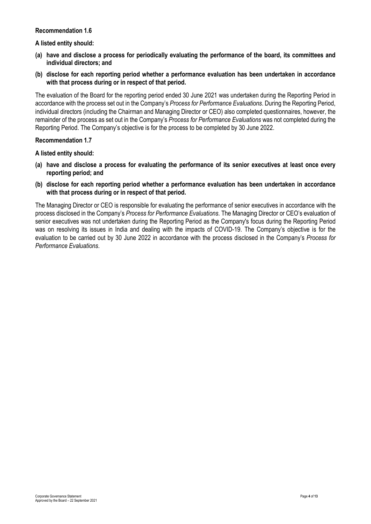#### **Recommendation 1.6**

#### **A listed entity should:**

- **(a) have and disclose a process for periodically evaluating the performance of the board, its committees and individual directors; and**
- **(b) disclose for each reporting period whether a performance evaluation has been undertaken in accordance with that process during or in respect of that period.**

The evaluation of the Board for the reporting period ended 30 June 2021 was undertaken during the Reporting Period in accordance with the process set out in the Company's *Process for Performance Evaluations*. During the Reporting Period, individual directors (including the Chairman and Managing Director or CEO) also completed questionnaires, however, the remainder of the process as set out in the Company's *Process for Performance Evaluations* was not completed during the Reporting Period. The Company's objective is for the process to be completed by 30 June 2022.

#### **Recommendation 1.7**

**A listed entity should:** 

- **(a) have and disclose a process for evaluating the performance of its senior executives at least once every reporting period; and**
- **(b) disclose for each reporting period whether a performance evaluation has been undertaken in accordance with that process during or in respect of that period.**

The Managing Director or CEO is responsible for evaluating the performance of senior executives in accordance with the process disclosed in the Company's *Process for Performance Evaluations*. The Managing Director or CEO's evaluation of senior executives was not undertaken during the Reporting Period as the Company's focus during the Reporting Period was on resolving its issues in India and dealing with the impacts of COVID-19. The Company's objective is for the evaluation to be carried out by 30 June 2022 in accordance with the process disclosed in the Company's *Process for Performance Evaluations*.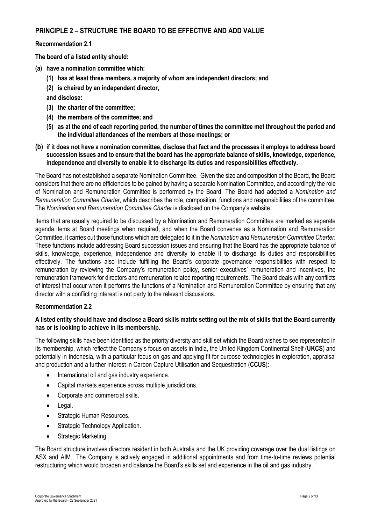# **PRINCIPLE 2 – STRUCTURE THE BOARD TO BE EFFECTIVE AND ADD VALUE**

### **Recommendation 2.1**

**The board of a listed entity should:** 

- **(a) have a nomination committee which:** 
	- **(1) has at least three members, a majority of whom are independent directors; and**
	- **(2) is chaired by an independent director,**
	- **and disclose:**
	- **(3) the charter of the committee;**
	- **(4) the members of the committee; and**
	- **(5) as at the end of each reporting period, the number of times the committee met throughout the period and the individual attendances of the members at those meetings; or**
- **(b) if it does not have a nomination committee, disclose that fact and the processes it employs to address board succession issues and to ensure that the board has the appropriate balance of skills, knowledge, experience, independence and diversity to enable it to discharge its duties and responsibilities effectively.**

The Board has not established a separate Nomination Committee. Given the size and composition of the Board, the Board considers that there are no efficiencies to be gained by having a separate Nomination Committee, and accordingly the role of Nomination and Remuneration Committee is performed by the Board. The Board had adopted a *Nomination and Remuneration Committee Charter*, which describes the role, composition, functions and responsibilities of the committee. The *Nomination and Remuneration Committee Charter* is disclosed on the Company's website.

Items that are usually required to be discussed by a Nomination and Remuneration Committee are marked as separate agenda items at Board meetings when required, and when the Board convenes as a Nomination and Remuneration Committee, it carries out those functions which are delegated to it in the *Nomination and Remuneration Committee Charter*. These functions include addressing Board succession issues and ensuring that the Board has the appropriate balance of skills, knowledge, experience, independence and diversity to enable it to discharge its duties and responsibilities effectively. The functions also include fulfilling the Board's corporate governance responsibilities with respect to remuneration by reviewing the Company's remuneration policy, senior executives' remuneration and incentives, the remuneration framework for directors and remuneration related reporting requirements. The Board deals with any conflicts of interest that occur when it performs the functions of a Nomination and Remuneration Committee by ensuring that any director with a conflicting interest is not party to the relevant discussions.

## **Recommendation 2.2**

#### **A listed entity should have and disclose a Board skills matrix setting out the mix of skills that the Board currently has or is looking to achieve in its membership.**

The following skills have been identified as the priority diversity and skill set which the Board wishes to see represented in its membership, which reflect the Company's focus on assets in India, the United Kingdom Continental Shelf (**UKCS**) and potentially in Indonesia, with a particular focus on gas and applying fit for purpose technologies in exploration, appraisal and production and a further interest in Carbon Capture Utilisation and Sequestration (**CCUS**):

- International oil and gas industry experience.
- Capital markets experience across multiple jurisdictions.
- Corporate and commercial skills.
- Legal.
- Strategic Human Resources.
- Strategic Technology Application.
- Strategic Marketing.

The Board structure involves directors resident in both Australia and the UK providing coverage over the dual listings on ASX and AIM. The Company is actively engaged in additional appointments and from time-to-time reviews potential restructuring which would broaden and balance the Board's skills set and experience in the oil and gas industry.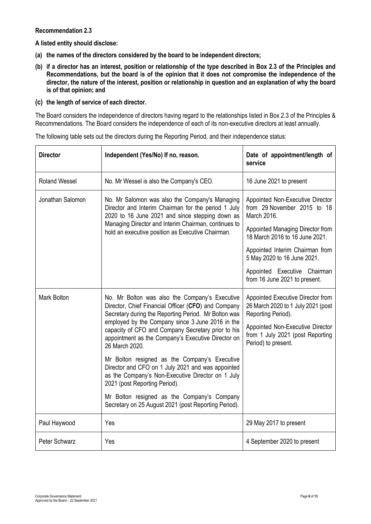## **Recommendation 2.3**

**A listed entity should disclose:** 

- **(a) the names of the directors considered by the board to be independent directors;**
- **(b) if a director has an interest, position or relationship of the type described in Box 2.3 of the Principles and Recommendations, but the board is of the opinion that it does not compromise the independence of the director, the nature of the interest, position or relationship in question and an explanation of why the board is of that opinion; and**
- **(c) the length of service of each director.**

The Board considers the independence of directors having regard to the relationships listed in Box 2.3 of the Principles & Recommendations. The Board considers the independence of each of its non-executive directors at least annually.

| <b>Director</b>                                                                                                                                                                                                                                                                           | Independent (Yes/No) If no, reason.                                                                                                                                                      | Date of appointment/length of<br>service                                                      |
|-------------------------------------------------------------------------------------------------------------------------------------------------------------------------------------------------------------------------------------------------------------------------------------------|------------------------------------------------------------------------------------------------------------------------------------------------------------------------------------------|-----------------------------------------------------------------------------------------------|
| <b>Roland Wessel</b>                                                                                                                                                                                                                                                                      | No. Mr Wessel is also the Company's CEO.                                                                                                                                                 | 16 June 2021 to present                                                                       |
| Jonathan Salomon<br>No. Mr Salomon was also the Company's Managing<br>Director and Interim Chairman for the period 1 July<br>2020 to 16 June 2021 and since stepping down as<br>Managing Director and Interim Chairman, continues to<br>hold an executive position as Executive Chairman. | Appointed Non-Executive Director<br>from 29 November 2015 to 18<br>March 2016.                                                                                                           |                                                                                               |
|                                                                                                                                                                                                                                                                                           |                                                                                                                                                                                          | Appointed Managing Director from<br>18 March 2016 to 16 June 2021.                            |
|                                                                                                                                                                                                                                                                                           |                                                                                                                                                                                          | Appointed Interim Chairman from<br>5 May 2020 to 16 June 2021.                                |
|                                                                                                                                                                                                                                                                                           |                                                                                                                                                                                          | Appointed Executive Chairman<br>from 16 June 2021 to present.                                 |
| Mark Bolton<br>No. Mr Bolton was also the Company's Executive<br>Director, Chief Financial Officer (CFO) and Company<br>Secretary during the Reporting Period. Mr Bolton was                                                                                                              |                                                                                                                                                                                          | Appointed Executive Director from<br>26 March 2020 to 1 July 2021 (post<br>Reporting Period). |
|                                                                                                                                                                                                                                                                                           | employed by the Company since 3 June 2016 in the<br>capacity of CFO and Company Secretary prior to his<br>appointment as the Company's Executive Director on<br>26 March 2020.           | Appointed Non-Executive Director<br>from 1 July 2021 (post Reporting<br>Period) to present.   |
|                                                                                                                                                                                                                                                                                           | Mr Bolton resigned as the Company's Executive<br>Director and CFO on 1 July 2021 and was appointed<br>as the Company's Non-Executive Director on 1 July<br>2021 (post Reporting Period). |                                                                                               |
|                                                                                                                                                                                                                                                                                           | Mr Bolton resigned as the Company's Company<br>Secretary on 25 August 2021 (post Reporting Period).                                                                                      |                                                                                               |
| Paul Haywood                                                                                                                                                                                                                                                                              | Yes                                                                                                                                                                                      | 29 May 2017 to present                                                                        |
| Peter Schwarz                                                                                                                                                                                                                                                                             | Yes                                                                                                                                                                                      | 4 September 2020 to present                                                                   |

The following table sets out the directors during the Reporting Period, and their independence status: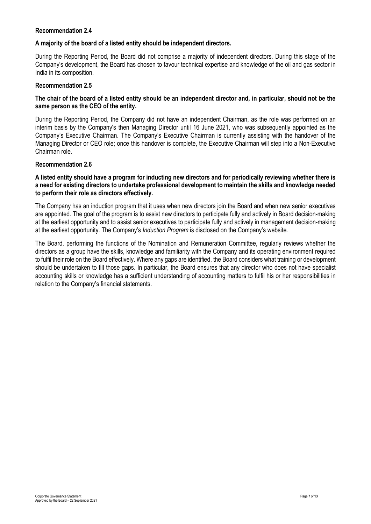#### **Recommendation 2.4**

## **A majority of the board of a listed entity should be independent directors.**

During the Reporting Period, the Board did not comprise a majority of independent directors. During this stage of the Company's development, the Board has chosen to favour technical expertise and knowledge of the oil and gas sector in India in its composition.

## **Recommendation 2.5**

# **The chair of the board of a listed entity should be an independent director and, in particular, should not be the same person as the CEO of the entity.**

During the Reporting Period, the Company did not have an independent Chairman, as the role was performed on an interim basis by the Company's then Managing Director until 16 June 2021, who was subsequently appointed as the Company's Executive Chairman. The Company's Executive Chairman is currently assisting with the handover of the Managing Director or CEO role; once this handover is complete, the Executive Chairman will step into a Non-Executive Chairman role.

#### **Recommendation 2.6**

# **A listed entity should have a program for inducting new directors and for periodically reviewing whether there is a need for existing directors to undertake professional development to maintain the skills and knowledge needed to perform their role as directors effectively.**

The Company has an induction program that it uses when new directors join the Board and when new senior executives are appointed. The goal of the program is to assist new directors to participate fully and actively in Board decision-making at the earliest opportunity and to assist senior executives to participate fully and actively in management decision-making at the earliest opportunity. The Company's *Induction Program* is disclosed on the Company's website.

The Board, performing the functions of the Nomination and Remuneration Committee, regularly reviews whether the directors as a group have the skills, knowledge and familiarity with the Company and its operating environment required to fulfil their role on the Board effectively. Where any gaps are identified, the Board considers what training or development should be undertaken to fill those gaps. In particular, the Board ensures that any director who does not have specialist accounting skills or knowledge has a sufficient understanding of accounting matters to fulfil his or her responsibilities in relation to the Company's financial statements.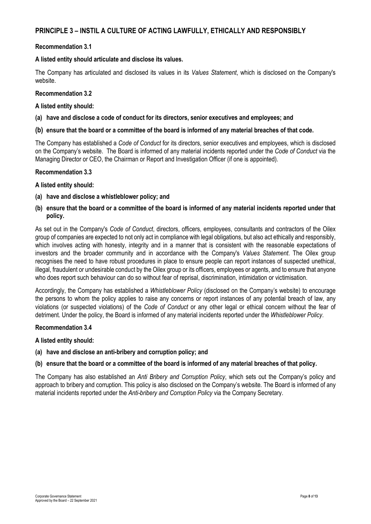# **PRINCIPLE 3 – INSTIL A CULTURE OF ACTING LAWFULLY, ETHICALLY AND RESPONSIBLY**

#### **Recommendation 3.1**

#### **A listed entity should articulate and disclose its values.**

The Company has articulated and disclosed its values in its *Values Statement*, which is disclosed on the Company's website.

# **Recommendation 3.2**

#### **A listed entity should:**

**(a) have and disclose a code of conduct for its directors, senior executives and employees; and** 

#### **(b) ensure that the board or a committee of the board is informed of any material breaches of that code.**

The Company has established a *Code of Conduct* for its directors, senior executives and employees, which is disclosed on the Company's website. The Board is informed of any material incidents reported under the *Code of Conduct* via the Managing Director or CEO, the Chairman or Report and Investigation Officer (if one is appointed).

#### **Recommendation 3.3**

#### **A listed entity should:**

- **(a) have and disclose a whistleblower policy; and**
- **(b) ensure that the board or a committee of the board is informed of any material incidents reported under that policy.**

As set out in the Company's *Code of Conduct*, directors, officers, employees, consultants and contractors of the Oilex group of companies are expected to not only act in compliance with legal obligations, but also act ethically and responsibly, which involves acting with honesty, integrity and in a manner that is consistent with the reasonable expectations of investors and the broader community and in accordance with the Company's *Values Statement*. The Oilex group recognises the need to have robust procedures in place to ensure people can report instances of suspected unethical, illegal, fraudulent or undesirable conduct by the Oilex group or its officers, employees or agents, and to ensure that anyone who does report such behaviour can do so without fear of reprisal, discrimination, intimidation or victimisation.

Accordingly, the Company has established a *Whistleblower Policy* (disclosed on the Company's website) to encourage the persons to whom the policy applies to raise any concerns or report instances of any potential breach of law, any violations (or suspected violations) of the *Code of Conduct* or any other legal or ethical concern without the fear of detriment. Under the policy, the Board is informed of any material incidents reported under the *Whistleblower Policy*.

#### **Recommendation 3.4**

#### **A listed entity should:**

**(a) have and disclose an anti-bribery and corruption policy; and** 

#### **(b) ensure that the board or a committee of the board is informed of any material breaches of that policy.**

The Company has also established an *Anti Bribery and Corruption Policy*, which sets out the Company's policy and approach to bribery and corruption. This policy is also disclosed on the Company's website. The Board is informed of any material incidents reported under the *Anti-bribery and Corruption Policy* via the Company Secretary.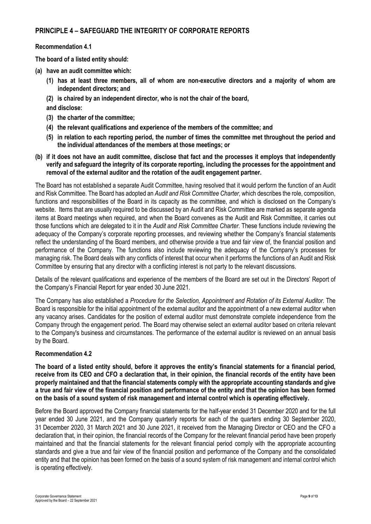# **PRINCIPLE 4 – SAFEGUARD THE INTEGRITY OF CORPORATE REPORTS**

#### **Recommendation 4.1**

**The board of a listed entity should:** 

- **(a) have an audit committee which:** 
	- **(1) has at least three members, all of whom are non-executive directors and a majority of whom are independent directors; and**
	- **(2) is chaired by an independent director, who is not the chair of the board,**
	- **and disclose:**
	- **(3) the charter of the committee;**
	- **(4) the relevant qualifications and experience of the members of the committee; and**
	- **(5) in relation to each reporting period, the number of times the committee met throughout the period and the individual attendances of the members at those meetings; or**
- **(b) if it does not have an audit committee, disclose that fact and the processes it employs that independently verify and safeguard the integrity of its corporate reporting, including the processes for the appointment and removal of the external auditor and the rotation of the audit engagement partner.**

The Board has not established a separate Audit Committee, having resolved that it would perform the function of an Audit and Risk Committee. The Board has adopted an *Audit and Risk Committee Charter*, which describes the role, composition, functions and responsibilities of the Board in its capacity as the committee, and which is disclosed on the Company's website. Items that are usually required to be discussed by an Audit and Risk Committee are marked as separate agenda items at Board meetings when required, and when the Board convenes as the Audit and Risk Committee, it carries out those functions which are delegated to it in the *Audit and Risk Committee Charter*. These functions include reviewing the adequacy of the Company's corporate reporting processes, and reviewing whether the Company's financial statements reflect the understanding of the Board members, and otherwise provide a true and fair view of, the financial position and performance of the Company. The functions also include reviewing the adequacy of the Company's processes for managing risk. The Board deals with any conflicts of interest that occur when it performs the functions of an Audit and Risk Committee by ensuring that any director with a conflicting interest is not party to the relevant discussions.

Details of the relevant qualifications and experience of the members of the Board are set out in the Directors' Report of the Company's Financial Report for year ended 30 June 2021.

The Company has also established a *Procedure for the Selection, Appointment and Rotation of its External Auditor*. The Board is responsible for the initial appointment of the external auditor and the appointment of a new external auditor when any vacancy arises. Candidates for the position of external auditor must demonstrate complete independence from the Company through the engagement period. The Board may otherwise select an external auditor based on criteria relevant to the Company's business and circumstances. The performance of the external auditor is reviewed on an annual basis by the Board.

#### **Recommendation 4.2**

**The board of a listed entity should, before it approves the entity's financial statements for a financial period, receive from its CEO and CFO a declaration that, in their opinion, the financial records of the entity have been properly maintained and that the financial statements comply with the appropriate accounting standards and give a true and fair view of the financial position and performance of the entity and that the opinion has been formed on the basis of a sound system of risk management and internal control which is operating effectively.** 

Before the Board approved the Company financial statements for the half-year ended 31 December 2020 and for the full year ended 30 June 2021, and the Company quarterly reports for each of the quarters ending 30 September 2020, 31 December 2020, 31 March 2021 and 30 June 2021, it received from the Managing Director or CEO and the CFO a declaration that, in their opinion, the financial records of the Company for the relevant financial period have been properly maintained and that the financial statements for the relevant financial period comply with the appropriate accounting standards and give a true and fair view of the financial position and performance of the Company and the consolidated entity and that the opinion has been formed on the basis of a sound system of risk management and internal control which is operating effectively.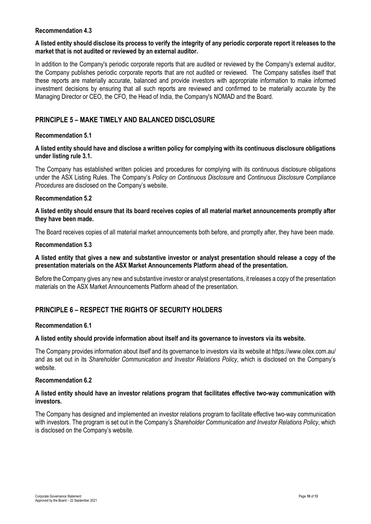#### **Recommendation 4.3**

#### **A listed entity should disclose its process to verify the integrity of any periodic corporate report it releases to the market that is not audited or reviewed by an external auditor.**

In addition to the Company's periodic corporate reports that are audited or reviewed by the Company's external auditor, the Company publishes periodic corporate reports that are not audited or reviewed. The Company satisfies itself that these reports are materially accurate, balanced and provide investors with appropriate information to make informed investment decisions by ensuring that all such reports are reviewed and confirmed to be materially accurate by the Managing Director or CEO, the CFO, the Head of India, the Company's NOMAD and the Board.

# **PRINCIPLE 5 – MAKE TIMELY AND BALANCED DISCLOSURE**

#### **Recommendation 5.1**

## **A listed entity should have and disclose a written policy for complying with its continuous disclosure obligations under listing rule 3.1.**

The Company has established written policies and procedures for complying with its continuous disclosure obligations under the ASX Listing Rules. The Company's *Policy on Continuous Disclosure* and *Continuous Disclosure Compliance Procedures* are disclosed on the Company's website.

#### **Recommendation 5.2**

#### **A listed entity should ensure that its board receives copies of all material market announcements promptly after they have been made.**

The Board receives copies of all material market announcements both before, and promptly after, they have been made.

#### **Recommendation 5.3**

#### **A listed entity that gives a new and substantive investor or analyst presentation should release a copy of the presentation materials on the ASX Market Announcements Platform ahead of the presentation.**

Before the Company gives any new and substantive investor or analyst presentations, it releases a copy of the presentation materials on the ASX Market Announcements Platform ahead of the presentation.

# **PRINCIPLE 6 – RESPECT THE RIGHTS OF SECURITY HOLDERS**

## **Recommendation 6.1**

#### **A listed entity should provide information about itself and its governance to investors via its website.**

The Company provides information about itself and its governance to investors via its website at https://www.oilex.com.au/ and as set out in its *Shareholder Communication and Investor Relations Policy*, which is disclosed on the Company's website.

#### **Recommendation 6.2**

#### **A listed entity should have an investor relations program that facilitates effective two-way communication with investors.**

The Company has designed and implemented an investor relations program to facilitate effective two-way communication with investors. The program is set out in the Company's *Shareholder Communication and Investor Relations Policy*, which is disclosed on the Company's website.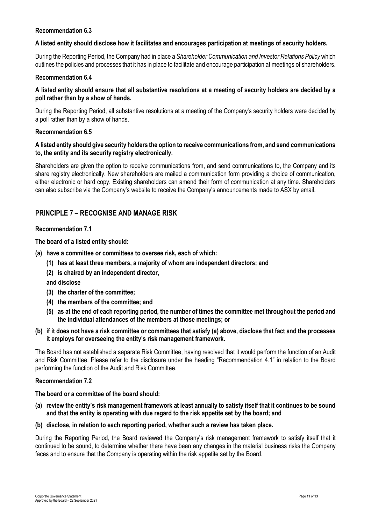## **Recommendation 6.3**

#### **A listed entity should disclose how it facilitates and encourages participation at meetings of security holders.**

During the Reporting Period, the Company had in place a *Shareholder Communication and Investor Relations Policy* which outlines the policies and processes that it has in place to facilitate and encourage participation at meetings of shareholders.

#### **Recommendation 6.4**

# **A listed entity should ensure that all substantive resolutions at a meeting of security holders are decided by a poll rather than by a show of hands.**

During the Reporting Period, all substantive resolutions at a meeting of the Company's security holders were decided by a poll rather than by a show of hands.

#### **Recommendation 6.5**

## **A listed entity should give security holders the option to receive communications from, and send communications to, the entity and its security registry electronically.**

Shareholders are given the option to receive communications from, and send communications to, the Company and its share registry electronically. New shareholders are mailed a communication form providing a choice of communication, either electronic or hard copy. Existing shareholders can amend their form of communication at any time. Shareholders can also subscribe via the Company's website to receive the Company's announcements made to ASX by email.

# **PRINCIPLE 7 – RECOGNISE AND MANAGE RISK**

#### **Recommendation 7.1**

**The board of a listed entity should:** 

- **(a) have a committee or committees to oversee risk, each of which:** 
	- **(1) has at least three members, a majority of whom are independent directors; and**
	- **(2) is chaired by an independent director,**
	- **and disclose**
	- **(3) the charter of the committee;**
	- **(4) the members of the committee; and**
	- **(5) as at the end of each reporting period, the number of times the committee met throughout the period and the individual attendances of the members at those meetings; or**

#### **(b) if it does not have a risk committee or committees that satisfy (a) above, disclose that fact and the processes it employs for overseeing the entity's risk management framework.**

The Board has not established a separate Risk Committee, having resolved that it would perform the function of an Audit and Risk Committee. Please refer to the disclosure under the heading "Recommendation 4.1" in relation to the Board performing the function of the Audit and Risk Committee.

#### **Recommendation 7.2**

#### **The board or a committee of the board should:**

- **(a) review the entity's risk management framework at least annually to satisfy itself that it continues to be sound and that the entity is operating with due regard to the risk appetite set by the board; and**
- **(b) disclose, in relation to each reporting period, whether such a review has taken place.**

During the Reporting Period, the Board reviewed the Company's risk management framework to satisfy itself that it continued to be sound, to determine whether there have been any changes in the material business risks the Company faces and to ensure that the Company is operating within the risk appetite set by the Board.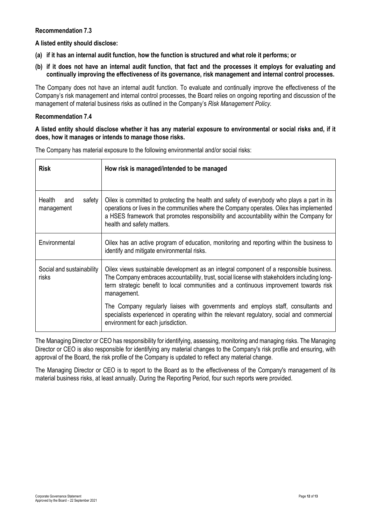## **Recommendation 7.3**

**A listed entity should disclose:** 

- **(a) if it has an internal audit function, how the function is structured and what role it performs; or**
- **(b) if it does not have an internal audit function, that fact and the processes it employs for evaluating and continually improving the effectiveness of its governance, risk management and internal control processes.**

The Company does not have an internal audit function. To evaluate and continually improve the effectiveness of the Company's risk management and internal control processes, the Board relies on ongoing reporting and discussion of the management of material business risks as outlined in the Company's *Risk Management Policy.*

## **Recommendation 7.4**

## **A listed entity should disclose whether it has any material exposure to environmental or social risks and, if it does, how it manages or intends to manage those risks.**

| <b>Risk</b>                           | How risk is managed/intended to be managed                                                                                                                                                                                                                                                                       |  |
|---------------------------------------|------------------------------------------------------------------------------------------------------------------------------------------------------------------------------------------------------------------------------------------------------------------------------------------------------------------|--|
| Health<br>safety<br>and<br>management | Oilex is committed to protecting the health and safety of everybody who plays a part in its<br>operations or lives in the communities where the Company operates. Oilex has implemented<br>a HSES framework that promotes responsibility and accountability within the Company for<br>health and safety matters. |  |
| Environmental                         | Oilex has an active program of education, monitoring and reporting within the business to<br>identify and mitigate environmental risks.                                                                                                                                                                          |  |
| Social and sustainability<br>risks    | Oilex views sustainable development as an integral component of a responsible business.<br>The Company embraces accountability, trust, social license with stakeholders including long-<br>term strategic benefit to local communities and a continuous improvement towards risk<br>management.                  |  |
|                                       | The Company regularly liaises with governments and employs staff, consultants and<br>specialists experienced in operating within the relevant regulatory, social and commercial<br>environment for each jurisdiction.                                                                                            |  |

The Company has material exposure to the following environmental and/or social risks:

The Managing Director or CEO has responsibility for identifying, assessing, monitoring and managing risks. The Managing Director or CEO is also responsible for identifying any material changes to the Company's risk profile and ensuring, with approval of the Board, the risk profile of the Company is updated to reflect any material change.

The Managing Director or CEO is to report to the Board as to the effectiveness of the Company's management of its material business risks, at least annually. During the Reporting Period, four such reports were provided.